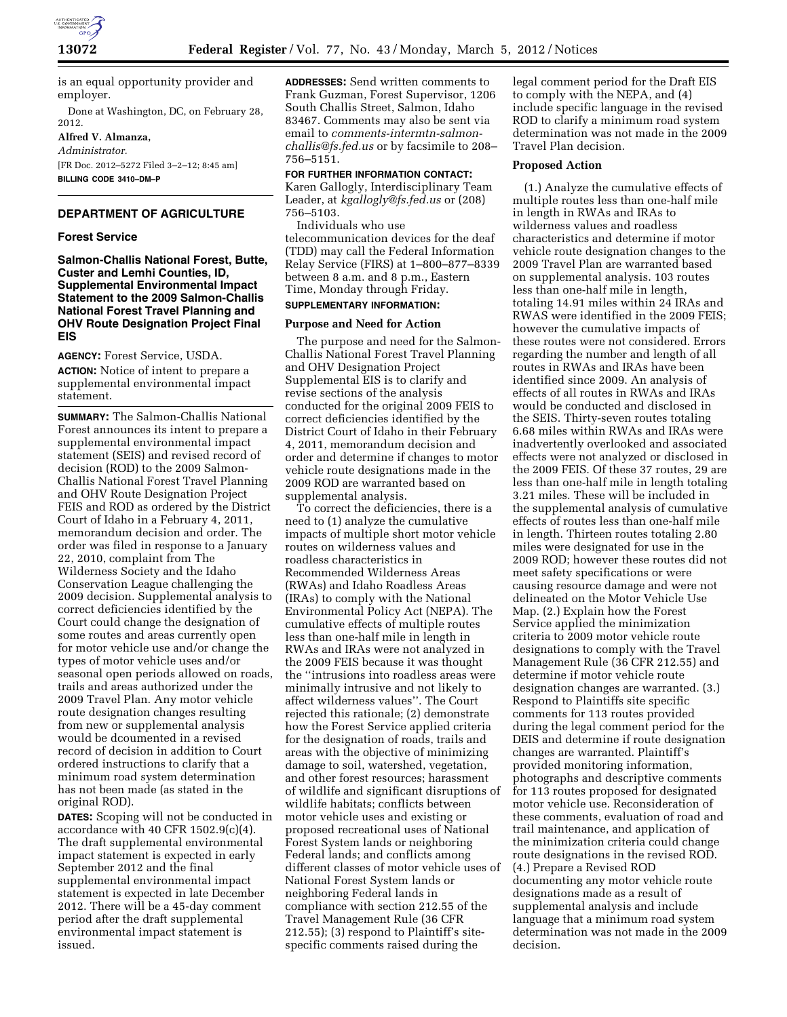

is an equal opportunity provider and employer.

Done at Washington, DC, on February 28, 2012.

## **Alfred V. Almanza,**

*Administrator.*  [FR Doc. 2012–5272 Filed 3–2–12; 8:45 am] **BILLING CODE 3410–DM–P** 

### **DEPARTMENT OF AGRICULTURE**

#### **Forest Service**

**Salmon-Challis National Forest, Butte, Custer and Lemhi Counties, ID, Supplemental Environmental Impact Statement to the 2009 Salmon-Challis National Forest Travel Planning and OHV Route Designation Project Final EIS** 

**AGENCY:** Forest Service, USDA. **ACTION:** Notice of intent to prepare a supplemental environmental impact statement.

**SUMMARY:** The Salmon-Challis National Forest announces its intent to prepare a supplemental environmental impact statement (SEIS) and revised record of decision (ROD) to the 2009 Salmon-Challis National Forest Travel Planning and OHV Route Designation Project FEIS and ROD as ordered by the District Court of Idaho in a February 4, 2011, memorandum decision and order. The order was filed in response to a January 22, 2010, complaint from The Wilderness Society and the Idaho Conservation League challenging the 2009 decision. Supplemental analysis to correct deficiencies identified by the Court could change the designation of some routes and areas currently open for motor vehicle use and/or change the types of motor vehicle uses and/or seasonal open periods allowed on roads, trails and areas authorized under the 2009 Travel Plan. Any motor vehicle route designation changes resulting from new or supplemental analysis would be dcoumented in a revised record of decision in addition to Court ordered instructions to clarify that a minimum road system determination has not been made (as stated in the original ROD).

**DATES:** Scoping will not be conducted in accordance with 40 CFR 1502.9(c)(4). The draft supplemental environmental impact statement is expected in early September 2012 and the final supplemental environmental impact statement is expected in late December 2012. There will be a 45-day comment period after the draft supplemental environmental impact statement is issued.

**ADDRESSES:** Send written comments to Frank Guzman, Forest Supervisor, 1206 South Challis Street, Salmon, Idaho 83467. Comments may also be sent via email to *[comments-intermtn-salmon](mailto:comments-intermtn-salmon-challis@fs.fed.us)[challis@fs.fed.us](mailto:comments-intermtn-salmon-challis@fs.fed.us)* or by facsimile to 208– 756–5151.

# **FOR FURTHER INFORMATION CONTACT:**

Karen Gallogly, Interdisciplinary Team Leader, at *[kgallogly@fs.fed.us](mailto:kgallogly@fs.fed.us)* or (208) 756–5103.

Individuals who use telecommunication devices for the deaf (TDD) may call the Federal Information Relay Service (FIRS) at 1–800–877–8339 between 8 a.m. and 8 p.m., Eastern Time, Monday through Friday.

# **SUPPLEMENTARY INFORMATION:**

#### **Purpose and Need for Action**

The purpose and need for the Salmon-Challis National Forest Travel Planning and OHV Designation Project Supplemental EIS is to clarify and revise sections of the analysis conducted for the original 2009 FEIS to correct deficiencies identified by the District Court of Idaho in their February 4, 2011, memorandum decision and order and determine if changes to motor vehicle route designations made in the 2009 ROD are warranted based on supplemental analysis.

To correct the deficiencies, there is a need to (1) analyze the cumulative impacts of multiple short motor vehicle routes on wilderness values and roadless characteristics in Recommended Wilderness Areas (RWAs) and Idaho Roadless Areas (IRAs) to comply with the National Environmental Policy Act (NEPA). The cumulative effects of multiple routes less than one-half mile in length in RWAs and IRAs were not analyzed in the 2009 FEIS because it was thought the ''intrusions into roadless areas were minimally intrusive and not likely to affect wilderness values''. The Court rejected this rationale; (2) demonstrate how the Forest Service applied criteria for the designation of roads, trails and areas with the objective of minimizing damage to soil, watershed, vegetation, and other forest resources; harassment of wildlife and significant disruptions of wildlife habitats; conflicts between motor vehicle uses and existing or proposed recreational uses of National Forest System lands or neighboring Federal lands; and conflicts among different classes of motor vehicle uses of National Forest System lands or neighboring Federal lands in compliance with section 212.55 of the Travel Management Rule (36 CFR 212.55); (3) respond to Plaintiff's sitespecific comments raised during the

legal comment period for the Draft EIS to comply with the NEPA, and (4) include specific language in the revised ROD to clarify a minimum road system determination was not made in the 2009 Travel Plan decision.

#### **Proposed Action**

(1.) Analyze the cumulative effects of multiple routes less than one-half mile in length in RWAs and IRAs to wilderness values and roadless characteristics and determine if motor vehicle route designation changes to the 2009 Travel Plan are warranted based on supplemental analysis. 103 routes less than one-half mile in length, totaling 14.91 miles within 24 IRAs and RWAS were identified in the 2009 FEIS; however the cumulative impacts of these routes were not considered. Errors regarding the number and length of all routes in RWAs and IRAs have been identified since 2009. An analysis of effects of all routes in RWAs and IRAs would be conducted and disclosed in the SEIS. Thirty-seven routes totaling 6.68 miles within RWAs and IRAs were inadvertently overlooked and associated effects were not analyzed or disclosed in the 2009 FEIS. Of these 37 routes, 29 are less than one-half mile in length totaling 3.21 miles. These will be included in the supplemental analysis of cumulative effects of routes less than one-half mile in length. Thirteen routes totaling 2.80 miles were designated for use in the 2009 ROD; however these routes did not meet safety specifications or were causing resource damage and were not delineated on the Motor Vehicle Use Map. (2.) Explain how the Forest Service applied the minimization criteria to 2009 motor vehicle route designations to comply with the Travel Management Rule (36 CFR 212.55) and determine if motor vehicle route designation changes are warranted. (3.) Respond to Plaintiffs site specific comments for 113 routes provided during the legal comment period for the DEIS and determine if route designation changes are warranted. Plaintiff's provided monitoring information, photographs and descriptive comments for 113 routes proposed for designated motor vehicle use. Reconsideration of these comments, evaluation of road and trail maintenance, and application of the minimization criteria could change route designations in the revised ROD. (4.) Prepare a Revised ROD documenting any motor vehicle route designations made as a result of supplemental analysis and include language that a minimum road system determination was not made in the 2009 decision.